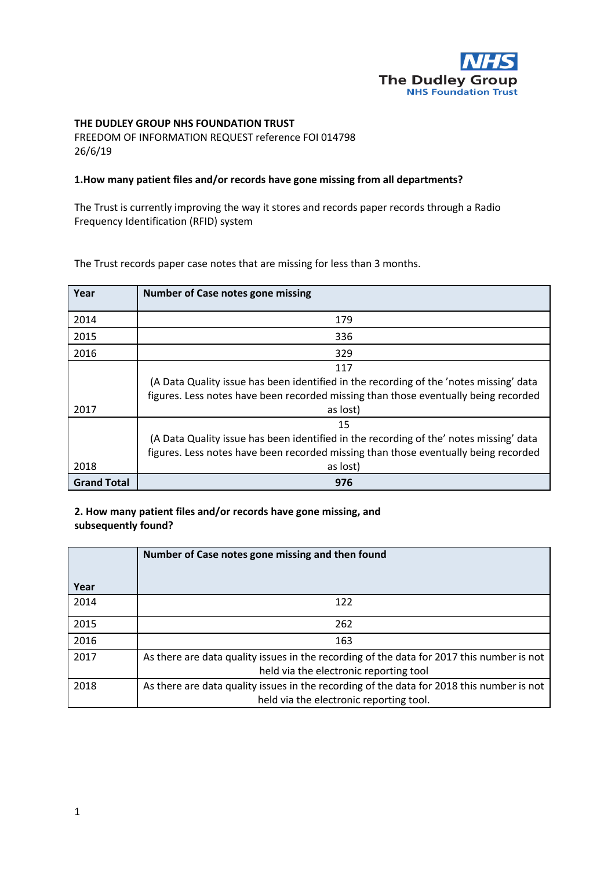

# **THE DUDLEY GROUP NHS FOUNDATION TRUST**

FREEDOM OF INFORMATION REQUEST reference FOI 014798 26/6/19

#### **1.How many patient files and/or records have gone missing from all departments?**

The Trust is currently improving the way it stores and records paper records through a Radio Frequency Identification (RFID) system

The Trust records paper case notes that are missing for less than 3 months.

| Year               | Number of Case notes gone missing                                                      |
|--------------------|----------------------------------------------------------------------------------------|
| 2014               | 179                                                                                    |
| 2015               | 336                                                                                    |
| 2016               | 329                                                                                    |
|                    | 117                                                                                    |
|                    | (A Data Quality issue has been identified in the recording of the 'notes missing' data |
|                    | figures. Less notes have been recorded missing than those eventually being recorded    |
| 2017               | as lost)                                                                               |
|                    | 15                                                                                     |
|                    | (A Data Quality issue has been identified in the recording of the' notes missing' data |
|                    | figures. Less notes have been recorded missing than those eventually being recorded    |
| 2018               | as lost)                                                                               |
| <b>Grand Total</b> | 976                                                                                    |

**2. How many patient files and/or records have gone missing, and subsequently found?** 

|      | Number of Case notes gone missing and then found                                                                                     |
|------|--------------------------------------------------------------------------------------------------------------------------------------|
| Year |                                                                                                                                      |
| 2014 | 122                                                                                                                                  |
| 2015 | 262                                                                                                                                  |
| 2016 | 163                                                                                                                                  |
| 2017 | As there are data quality issues in the recording of the data for 2017 this number is not<br>held via the electronic reporting tool  |
| 2018 | As there are data quality issues in the recording of the data for 2018 this number is not<br>held via the electronic reporting tool. |